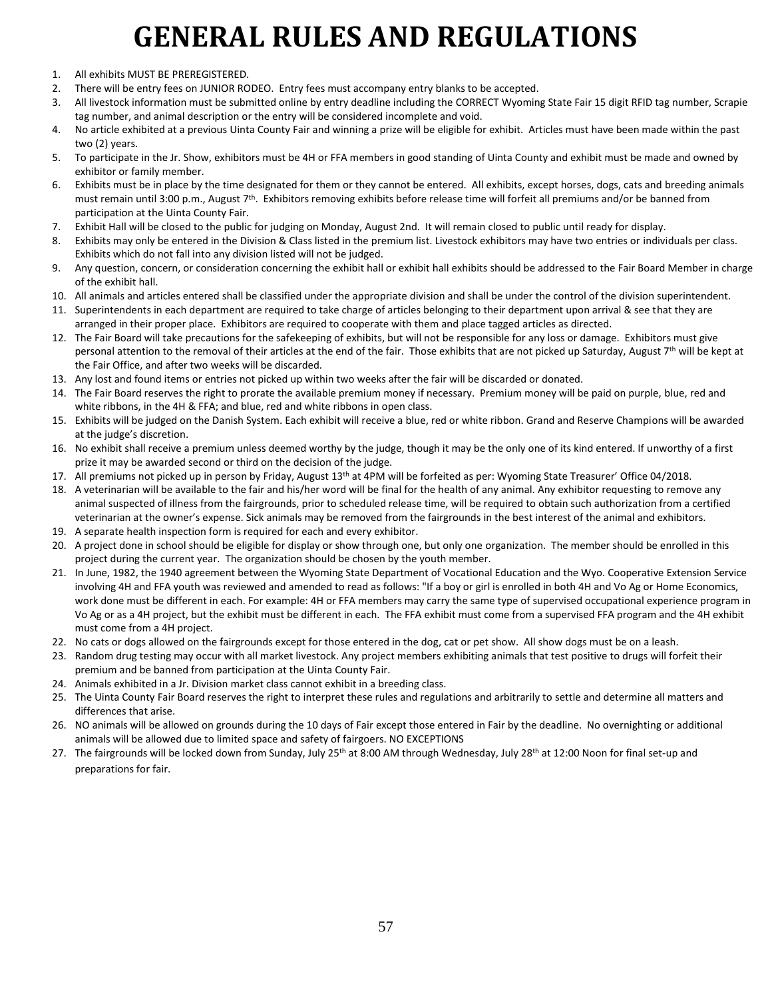- 1. All exhibits MUST BE PREREGISTERED.
- 2. There will be entry fees on JUNIOR RODEO. Entry fees must accompany entry blanks to be accepted.
- 3. All livestock information must be submitted online by entry deadline including the CORRECT Wyoming State Fair 15 digit RFID tag number, Scrapie tag number, and animal description or the entry will be considered incomplete and void.
- 4. No article exhibited at a previous Uinta County Fair and winning a prize will be eligible for exhibit. Articles must have been made within the past two (2) years.
- 5. To participate in the Jr. Show, exhibitors must be 4H or FFA members in good standing of Uinta County and exhibit must be made and owned by exhibitor or family member.
- 6. Exhibits must be in place by the time designated for them or they cannot be entered. All exhibits, except horses, dogs, cats and breeding animals must remain until 3:00 p.m., August 7<sup>th</sup>. Exhibitors removing exhibits before release time will forfeit all premiums and/or be banned from participation at the Uinta County Fair.
- 7. Exhibit Hall will be closed to the public for judging on Monday, August 2nd. It will remain closed to public until ready for display.
- 8. Exhibits may only be entered in the Division & Class listed in the premium list. Livestock exhibitors may have two entries or individuals per class. Exhibits which do not fall into any division listed will not be judged.
- 9. Any question, concern, or consideration concerning the exhibit hall or exhibit hall exhibits should be addressed to the Fair Board Member in charge of the exhibit hall.
- 10. All animals and articles entered shall be classified under the appropriate division and shall be under the control of the division superintendent.
- 11. Superintendents in each department are required to take charge of articles belonging to their department upon arrival & see that they are arranged in their proper place. Exhibitors are required to cooperate with them and place tagged articles as directed.
- 12. The Fair Board will take precautions for the safekeeping of exhibits, but will not be responsible for any loss or damage. Exhibitors must give personal attention to the removal of their articles at the end of the fair. Those exhibits that are not picked up Saturday, August 7<sup>th</sup> will be kept at the Fair Office, and after two weeks will be discarded.
- 13. Any lost and found items or entries not picked up within two weeks after the fair will be discarded or donated.
- 14. The Fair Board reserves the right to prorate the available premium money if necessary. Premium money will be paid on purple, blue, red and white ribbons, in the 4H & FFA; and blue, red and white ribbons in open class.
- 15. Exhibits will be judged on the Danish System. Each exhibit will receive a blue, red or white ribbon. Grand and Reserve Champions will be awarded at the judge's discretion.
- 16. No exhibit shall receive a premium unless deemed worthy by the judge, though it may be the only one of its kind entered. If unworthy of a first prize it may be awarded second or third on the decision of the judge.
- 17. All premiums not picked up in person by Friday, August 13<sup>th</sup> at 4PM will be forfeited as per: Wyoming State Treasurer' Office 04/2018.
- 18. A veterinarian will be available to the fair and his/her word will be final for the health of any animal. Any exhibitor requesting to remove any animal suspected of illness from the fairgrounds, prior to scheduled release time, will be required to obtain such authorization from a certified veterinarian at the owner's expense. Sick animals may be removed from the fairgrounds in the best interest of the animal and exhibitors.
- 19. A separate health inspection form is required for each and every exhibitor.
- 20. A project done in school should be eligible for display or show through one, but only one organization. The member should be enrolled in this project during the current year. The organization should be chosen by the youth member.
- 21. In June, 1982, the 1940 agreement between the Wyoming State Department of Vocational Education and the Wyo. Cooperative Extension Service involving 4H and FFA youth was reviewed and amended to read as follows: "If a boy or girl is enrolled in both 4H and Vo Ag or Home Economics, work done must be different in each. For example: 4H or FFA members may carry the same type of supervised occupational experience program in Vo Ag or as a 4H project, but the exhibit must be different in each. The FFA exhibit must come from a supervised FFA program and the 4H exhibit must come from a 4H project.
- 22. No cats or dogs allowed on the fairgrounds except for those entered in the dog, cat or pet show. All show dogs must be on a leash.
- 23. Random drug testing may occur with all market livestock. Any project members exhibiting animals that test positive to drugs will forfeit their premium and be banned from participation at the Uinta County Fair.
- 24. Animals exhibited in a Jr. Division market class cannot exhibit in a breeding class.
- 25. The Uinta County Fair Board reserves the right to interpret these rules and regulations and arbitrarily to settle and determine all matters and differences that arise.
- 26. NO animals will be allowed on grounds during the 10 days of Fair except those entered in Fair by the deadline. No overnighting or additional animals will be allowed due to limited space and safety of fairgoers. NO EXCEPTIONS
- 27. The fairgrounds will be locked down from Sunday, July 25<sup>th</sup> at 8:00 AM through Wednesday, July 28<sup>th</sup> at 12:00 Noon for final set-up and preparations for fair.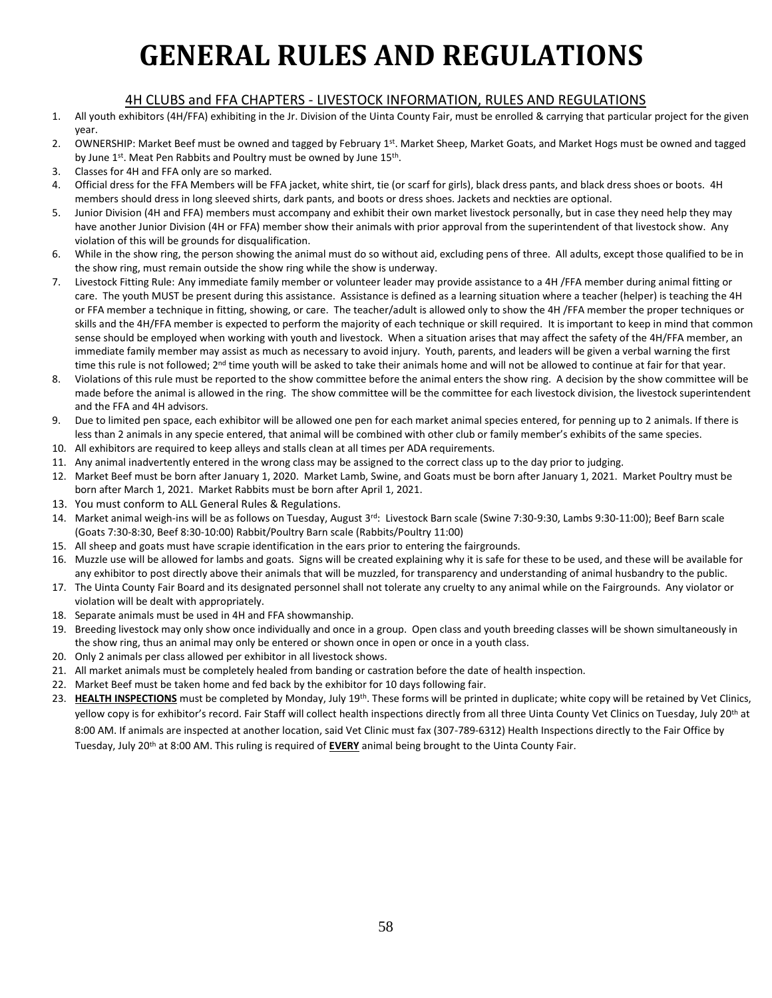#### 4H CLUBS and FFA CHAPTERS - LIVESTOCK INFORMATION, RULES AND REGULATIONS

- 1. All youth exhibitors (4H/FFA) exhibiting in the Jr. Division of the Uinta County Fair, must be enrolled & carrying that particular project for the given year.
- 2. OWNERSHIP: Market Beef must be owned and tagged by February 1st. Market Sheep, Market Goats, and Market Hogs must be owned and tagged by June 1<sup>st</sup>. Meat Pen Rabbits and Poultry must be owned by June 15<sup>th</sup>.
- 3. Classes for 4H and FFA only are so marked.
- 4. Official dress for the FFA Members will be FFA jacket, white shirt, tie (or scarf for girls), black dress pants, and black dress shoes or boots. 4H members should dress in long sleeved shirts, dark pants, and boots or dress shoes. Jackets and neckties are optional.
- 5. Junior Division (4H and FFA) members must accompany and exhibit their own market livestock personally, but in case they need help they may have another Junior Division (4H or FFA) member show their animals with prior approval from the superintendent of that livestock show. Any violation of this will be grounds for disqualification.
- 6. While in the show ring, the person showing the animal must do so without aid, excluding pens of three. All adults, except those qualified to be in the show ring, must remain outside the show ring while the show is underway.
- 7. Livestock Fitting Rule: Any immediate family member or volunteer leader may provide assistance to a 4H /FFA member during animal fitting or care. The youth MUST be present during this assistance. Assistance is defined as a learning situation where a teacher (helper) is teaching the 4H or FFA member a technique in fitting, showing, or care. The teacher/adult is allowed only to show the 4H /FFA member the proper techniques or skills and the 4H/FFA member is expected to perform the majority of each technique or skill required. It is important to keep in mind that common sense should be employed when working with youth and livestock. When a situation arises that may affect the safety of the 4H/FFA member, an immediate family member may assist as much as necessary to avoid injury. Youth, parents, and leaders will be given a verbal warning the first time this rule is not followed; 2<sup>nd</sup> time youth will be asked to take their animals home and will not be allowed to continue at fair for that year.
- 8. Violations of this rule must be reported to the show committee before the animal enters the show ring. A decision by the show committee will be made before the animal is allowed in the ring. The show committee will be the committee for each livestock division, the livestock superintendent and the FFA and 4H advisors.
- 9. Due to limited pen space, each exhibitor will be allowed one pen for each market animal species entered, for penning up to 2 animals. If there is less than 2 animals in any specie entered, that animal will be combined with other club or family member's exhibits of the same species.
- 10. All exhibitors are required to keep alleys and stalls clean at all times per ADA requirements.
- 11. Any animal inadvertently entered in the wrong class may be assigned to the correct class up to the day prior to judging.
- 12. Market Beef must be born after January 1, 2020. Market Lamb, Swine, and Goats must be born after January 1, 2021. Market Poultry must be born after March 1, 2021. Market Rabbits must be born after April 1, 2021.
- 13. You must conform to ALL General Rules & Regulations.
- 14. Market animal weigh-ins will be as follows on Tuesday, August 3rd: Livestock Barn scale (Swine 7:30-9:30, Lambs 9:30-11:00); Beef Barn scale (Goats 7:30-8:30, Beef 8:30-10:00) Rabbit/Poultry Barn scale (Rabbits/Poultry 11:00)
- 15. All sheep and goats must have scrapie identification in the ears prior to entering the fairgrounds.
- 16. Muzzle use will be allowed for lambs and goats. Signs will be created explaining why it is safe for these to be used, and these will be available for any exhibitor to post directly above their animals that will be muzzled, for transparency and understanding of animal husbandry to the public.
- 17. The Uinta County Fair Board and its designated personnel shall not tolerate any cruelty to any animal while on the Fairgrounds. Any violator or violation will be dealt with appropriately.
- 18. Separate animals must be used in 4H and FFA showmanship.
- 19. Breeding livestock may only show once individually and once in a group. Open class and youth breeding classes will be shown simultaneously in the show ring, thus an animal may only be entered or shown once in open or once in a youth class.
- 20. Only 2 animals per class allowed per exhibitor in all livestock shows.
- 21. All market animals must be completely healed from banding or castration before the date of health inspection.
- 22. Market Beef must be taken home and fed back by the exhibitor for 10 days following fair.
- 23. **HEALTH INSPECTIONS** must be completed by Monday, July 19th. These forms will be printed in duplicate; white copy will be retained by Vet Clinics, yellow copy is for exhibitor's record. Fair Staff will collect health inspections directly from all three Uinta County Vet Clinics on Tuesday, July 20<sup>th</sup> at 8:00 AM. If animals are inspected at another location, said Vet Clinic must fax (307-789-6312) Health Inspections directly to the Fair Office by Tuesday, July 20th at 8:00 AM. This ruling is required of **EVERY** animal being brought to the Uinta County Fair.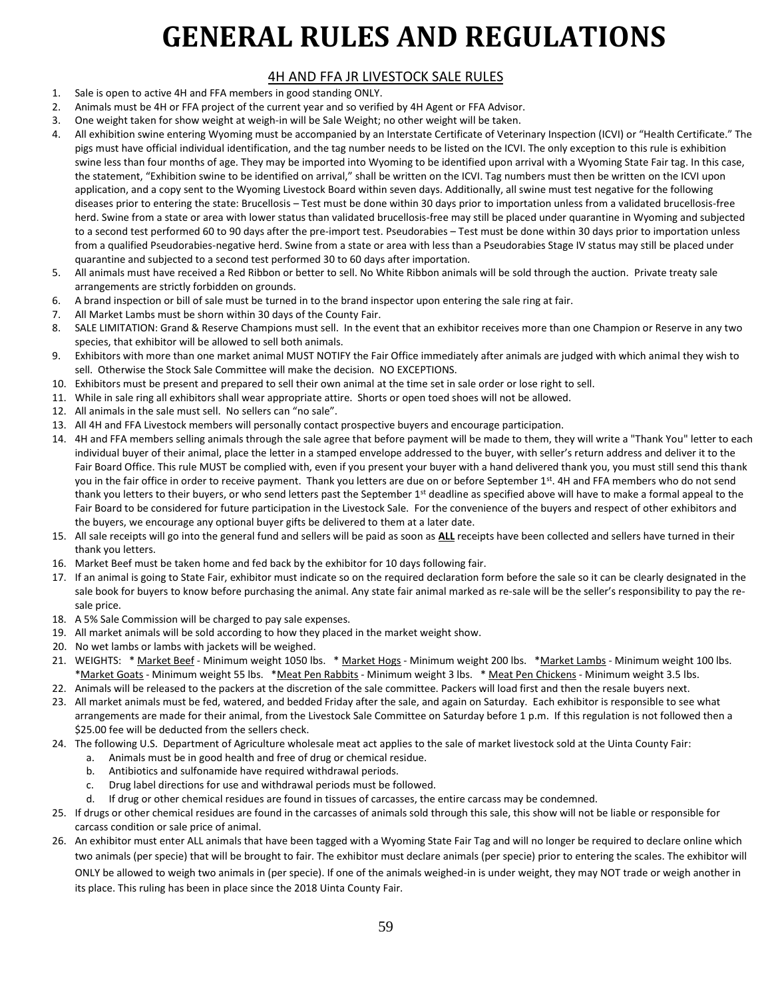#### 4H AND FFA JR LIVESTOCK SALE RULES

- 1. Sale is open to active 4H and FFA members in good standing ONLY.
- 2. Animals must be 4H or FFA project of the current year and so verified by 4H Agent or FFA Advisor.
- 3. One weight taken for show weight at weigh-in will be Sale Weight; no other weight will be taken.
- 4. All exhibition swine entering Wyoming must be accompanied by an Interstate Certificate of Veterinary Inspection (ICVI) or "Health Certificate." The pigs must have official individual identification, and the tag number needs to be listed on the ICVI. The only exception to this rule is exhibition swine less than four months of age. They may be imported into Wyoming to be identified upon arrival with a Wyoming State Fair tag. In this case, the statement, "Exhibition swine to be identified on arrival," shall be written on the ICVI. Tag numbers must then be written on the ICVI upon application, and a copy sent to the Wyoming Livestock Board within seven days. Additionally, all swine must test negative for the following diseases prior to entering the state: Brucellosis – Test must be done within 30 days prior to importation unless from a validated brucellosis-free herd. Swine from a state or area with lower status than validated brucellosis-free may still be placed under quarantine in Wyoming and subjected to a second test performed 60 to 90 days after the pre-import test. Pseudorabies – Test must be done within 30 days prior to importation unless from a qualified Pseudorabies-negative herd. Swine from a state or area with less than a Pseudorabies Stage IV status may still be placed under quarantine and subjected to a second test performed 30 to 60 days after importation.
- 5. All animals must have received a Red Ribbon or better to sell. No White Ribbon animals will be sold through the auction. Private treaty sale arrangements are strictly forbidden on grounds.
- 6. A brand inspection or bill of sale must be turned in to the brand inspector upon entering the sale ring at fair.
- 7. All Market Lambs must be shorn within 30 days of the County Fair.
- 8. SALE LIMITATION: Grand & Reserve Champions must sell. In the event that an exhibitor receives more than one Champion or Reserve in any two species, that exhibitor will be allowed to sell both animals.
- 9. Exhibitors with more than one market animal MUST NOTIFY the Fair Office immediately after animals are judged with which animal they wish to sell. Otherwise the Stock Sale Committee will make the decision. NO EXCEPTIONS.
- 10. Exhibitors must be present and prepared to sell their own animal at the time set in sale order or lose right to sell.
- 11. While in sale ring all exhibitors shall wear appropriate attire. Shorts or open toed shoes will not be allowed.
- 12. All animals in the sale must sell. No sellers can "no sale".
- 13. All 4H and FFA Livestock members will personally contact prospective buyers and encourage participation.
- 14. 4H and FFA members selling animals through the sale agree that before payment will be made to them, they will write a "Thank You" letter to each individual buyer of their animal, place the letter in a stamped envelope addressed to the buyer, with seller's return address and deliver it to the Fair Board Office. This rule MUST be complied with, even if you present your buyer with a hand delivered thank you, you must still send this thank you in the fair office in order to receive payment. Thank you letters are due on or before September 1<sup>st</sup>. 4H and FFA members who do not send thank you letters to their buyers, or who send letters past the September 1<sup>st</sup> deadline as specified above will have to make a formal appeal to the Fair Board to be considered for future participation in the Livestock Sale. For the convenience of the buyers and respect of other exhibitors and the buyers, we encourage any optional buyer gifts be delivered to them at a later date.
- 15. All sale receipts will go into the general fund and sellers will be paid as soon as **ALL** receipts have been collected and sellers have turned in their thank you letters.
- 16. Market Beef must be taken home and fed back by the exhibitor for 10 days following fair.
- 17. If an animal is going to State Fair, exhibitor must indicate so on the required declaration form before the sale so it can be clearly designated in the sale book for buyers to know before purchasing the animal. Any state fair animal marked as re-sale will be the seller's responsibility to pay the resale price.
- 18. A 5% Sale Commission will be charged to pay sale expenses.
- 19. All market animals will be sold according to how they placed in the market weight show.
- 20. No wet lambs or lambs with jackets will be weighed.
- 21. WEIGHTS: \* Market Beef Minimum weight 1050 lbs. \* Market Hogs Minimum weight 200 lbs. \* Market Lambs Minimum weight 100 lbs. \*Market Goats - Minimum weight 55 lbs. \* Meat Pen Rabbits - Minimum weight 3 lbs. \* Meat Pen Chickens - Minimum weight 3.5 lbs.
- 22. Animals will be released to the packers at the discretion of the sale committee. Packers will load first and then the resale buyers next.
- 23. All market animals must be fed, watered, and bedded Friday after the sale, and again on Saturday. Each exhibitor is responsible to see what arrangements are made for their animal, from the Livestock Sale Committee on Saturday before 1 p.m. If this regulation is not followed then a \$25.00 fee will be deducted from the sellers check.
- 24. The following U.S. Department of Agriculture wholesale meat act applies to the sale of market livestock sold at the Uinta County Fair:
	- a. Animals must be in good health and free of drug or chemical residue.
	- b. Antibiotics and sulfonamide have required withdrawal periods.
	- c. Drug label directions for use and withdrawal periods must be followed.
	- d. If drug or other chemical residues are found in tissues of carcasses, the entire carcass may be condemned.
- 25. If drugs or other chemical residues are found in the carcasses of animals sold through this sale, this show will not be liable or responsible for carcass condition or sale price of animal.
- 26. An exhibitor must enter ALL animals that have been tagged with a Wyoming State Fair Tag and will no longer be required to declare online which two animals (per specie) that will be brought to fair. The exhibitor must declare animals (per specie) prior to entering the scales. The exhibitor will ONLY be allowed to weigh two animals in (per specie). If one of the animals weighed-in is under weight, they may NOT trade or weigh another in its place. This ruling has been in place since the 2018 Uinta County Fair.